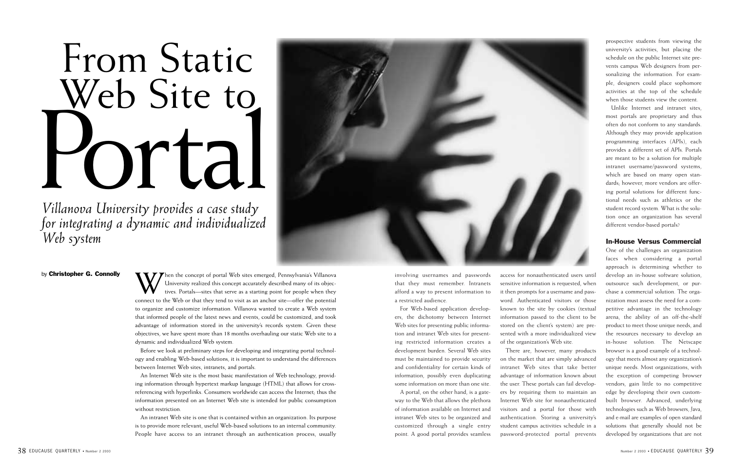involving usernames and passwords that they must remember. Intranets afford a way to present information to a restricted audience.

For Web-based application developers, the dichotomy between Internet Web sites for presenting public information and intranet Web sites for presenting restricted information creates a development burden. Several Web sites must be maintained to provide security and confidentiality for certain kinds of information, possibly even duplicating some information on more than one site.

A portal, on the other hand, is a gateway to the Web that allows the plethora of information available on Internet and intranet Web sites to be organized and customized through a single entry point. A good portal provides seamless

access for nonauthenticated users until sensitive information is requested, when it then prompts for a username and password. Authenticated visitors or those known to the site by cookies (textual information passed to the client to be stored on the client's system) are presented with a more individualized view of the organization's Web site.

There are, however, many products on the market that are simply advanced intranet Web sites that take better advantage of information known about the user. These portals can fail developers by requiring them to maintain an Internet Web site for nonauthenticated visitors and a portal for those with authentication. Storing a university's student campus activities schedule in a password-protected portal prevents prospective students from viewing the university's activities, but placing the schedule on the public Internet site prevents campus Web designers from personalizing the information. For example, designers could place sophomore activities at the top of the schedule when those students view the content.

by **Christopher G. Connolly**<br>University realized this concept accurately described many of its objectives.<br>Connect to the Web or that they tend to visit as an anchor site—offer the potential<br>Connect to the Web or that the University realized this concept accurately described many of its objectives. Portals—sites that serve as a starting point for people when they connect to the Web or that they tend to visit as an anchor site—offer the potential to organize and customize information. Villanova wanted to create a Web system that informed people of the latest news and events, could be customized, and took advantage of information stored in the university's records system. Given these objectives, we have spent more than 18 months overhauling our static Web site to a dynamic and individualized Web system.

Unlike Internet and intranet sites, most portals are proprietary and thus often do not conform to any standards. Although they may provide application programming interfaces (APIs), each provides a different set of APIs. Portals are meant to be a solution for multiple intranet username/password systems, which are based on many open standards; however, more vendors are offering portal solutions for different functional needs such as athletics or the student record system. What is the solution once an organization has several different vendor-based portals?

### In-House Versus Commercial

One of the challenges an organization faces when considering a portal approach is determining whether to develop an in-house software solution, outsource such development, or purchase a commercial solution. The organization must assess the need for a competitive advantage in the technology arena, the ability of an off-the-shelf product to meet those unique needs, and the resources necessary to develop an in-house solution. The Netscape browser is a good example of a technology that meets almost any organization's unique needs. Most organizations, with the exception of competing browser vendors, gain little to no competitive edge by developing their own custombuilt browser. Advanced, underlying technologies such as Web browsers, Java, and e-mail are examples of open standard solutions that generally should not be developed by organizations that are not

Before we look at preliminary steps for developing and integrating portal technology and enabling Web-based solutions, it is important to understand the differences between Internet Web sites, intranets, and portals.

An Internet Web site is the most basic manifestation of Web technology, providing information through hypertext markup language (HTML) that allows for crossreferencing with hyperlinks. Consumers worldwide can access the Internet; thus the information presented on an Internet Web site is intended for public consumption without restriction.

An intranet Web site is one that is contained within an organization. Its purpose is to provide more relevant, useful Web-based solutions to an internal community. People have access to an intranet through an authentication process, usually

# From Static Web Site to Portal

*Villanova University provides a case study for integrating a dynamic and individualized Web system*

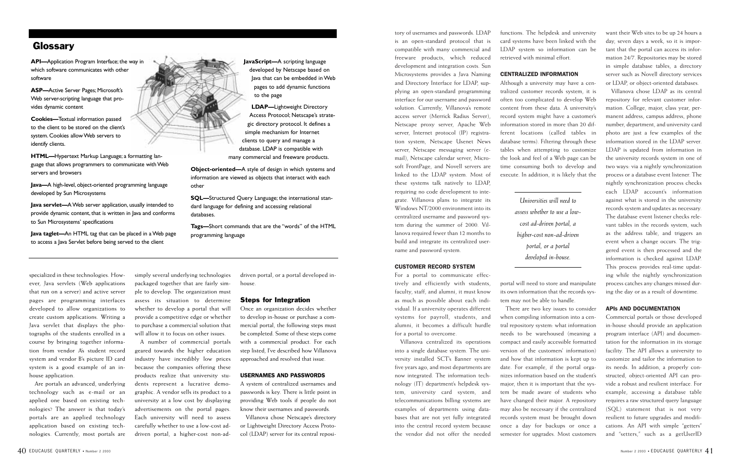tory of usernames and passwords. LDAP is an open-standard protocol that is compatible with many commercial and freeware products, which reduced development and integration costs. Sun Microsystems provides a Java Naming and Directory Interface for LDAP, supplying an open-standard programming interface for our username and password solution. Currently, Villanova's remote access server (Merrick Radius Server), Netscape proxy server, Apache Web server, Internet protocol (IP) registration system, Netscape Usenet News server, Netscape messaging server (email), Netscape calendar server, Microsoft FrontPage, and Novell servers are linked to the LDAP system. Most of these systems talk natively to LDAP, requiring no code development to integrate. Villanova plans to integrate its Windows NT/2000 environment into its centralized username and password system during the summer of 2000. Villanova required fewer than 12 months to build and integrate its centralized username and password system.

#### **CUSTOMER RECORD SYSTEM**

For a portal to communicate effectively and efficiently with students, faculty, staff, and alumni, it must know as much as possible about each individual. If a university operates different systems for payroll, students, and alumni, it becomes a difficult hurdle for a portal to overcome.

Villanova centralized its operations into a single database system. The university installed SCT's Banner system five years ago, and most departments are now integrated. The information technology (IT) department's helpdesk system, university card system, and telecommunications billing systems are examples of departments using databases that are not yet fully integrated into the central record system because the vendor did not offer the needed

functions. The helpdesk and university card systems have been linked with the LDAP system so information can be retrieved with minimal effort.

#### **CENTRALIZED INFORMATION**

Although a university may have a centralized customer records system, it is often too complicated to develop Web content from these data. A university's record system might have a customer's information stored in more than 20 different locations (called tables in database terms). Filtering through these tables when attempting to customize the look and feel of a Web page can be time consuming both to develop and execute. In addition, it is likely that the

portal will need to store and manipulate its own information that the records system may not be able to handle.

There are two key issues to consider when compiling information into a central repository system: what information needs to be warehoused (meaning a compact and easily accessible formatted version of the customers' information) and how that information is kept up to date. For example, if the portal organizes information based on the student's major, then it is important that the system be made aware of students who have changed their major. A repository may also be necessary if the centralized records system must be brought down once a day for backups or once a semester for upgrades. Most customers

want their Web sites to be up 24 hours a day, seven days a week, so it is important that the portal can access its information 24/7. Repositories may be stored in simple database tables, a directory server such as Novell directory services or LDAP, or object-oriented databases.

Villanova chose LDAP as its central repository for relevant customer information. College, major, class year, permanent address, campus address, phone number, department, and university card photo are just a few examples of the information stored in the LDAP server. LDAP is updated from information in the university records system in one of two ways: via a nightly synchronization process or a database event listener. The nightly synchronization process checks each LDAP account's information against what is stored in the university records system and updates as necessary. The database event listener checks relevant tables in the records system, such as the address table, and triggers an event when a change occurs. The triggered event is then processed and the information is checked against LDAP. This process provides real-time updating while the nightly synchronization process catches any changes missed during the day or as a result of downtime.

#### **APIS AND DOCUMENTATION**

Commercial portals or those developed in-house should provide an application program interface (API) and documentation for the information in its storage facility. The API allows a university to customize and tailor the information to its needs. In addition, a properly constructed, object-oriented API can provide a robust and resilient interface. For example, accessing a database table requires a raw structured query language (SQL) statement that is not very resilient to future upgrades and modifications. An API with simple "getters" and "setters," such as a getUserID

specialized in these technologies. However, Java servlets (Web applications that run on a server) and active server pages are programming interfaces developed to allow organizations to create custom applications. Writing a Java servlet that displays the photographs of the students enrolled in a course by bringing together information from vendor A's student record system and vendor B's picture ID card system is a good example of an inhouse application.

Are portals an advanced, underlying technology such as e-mail or an applied one based on existing technologies? The answer is that today's portals are an applied technology application based on existing technologies. Currently, most portals are simply several underlying technologies packaged together that are fairly simple to develop. The organization must assess its situation to determine whether to develop a portal that will provide a competitive edge or whether to purchase a commercial solution that will allow it to focus on other issues.

A number of commercial portals geared towards the higher education industry have incredibly low prices because the companies offering these products realize that university students represent a lucrative demographic. A vendor sells its product to a university at a low cost by displaying advertisements on the portal pages. Each university will need to assess carefully whether to use a low-cost addriven portal, a higher-cost non-ad-

driven portal, or a portal developed inhouse.

#### Steps for Integration

Once an organization decides whether to develop in-house or purchase a commercial portal, the following steps must be completed. Some of these steps come with a commercial product. For each step listed, I've described how Villanova approached and resolved that issue.

#### **USERNAMES AND PASSWORDS**

A system of centralized usernames and passwords is key. There is little point in providing Web tools if people do not know their usernames and passwords.

Villanova chose Netscape's directory or Lightweight Directory Access Protocol (LDAP) server for its central reposi-

*Universities will need to assess whether to use a lowcost ad-driven portal, a higher-cost non-ad-driven portal, or a portal developed in-house.*

**API—**Application Program Interface; the way in which software communicates with other software

**ASP—**Active Server Pages; Microsoft's Web server-scripting language that provides dynamic content

**Cookies—**Textual information passed to the client to be stored on the client's system. Cookies allow Web servers to identify clients.

**HTML—**Hypertext Markup Language; a formatting language that allows programmers to communicate with Web servers and browsers

**Java—**A high-level, object-oriented programming language developed by Sun Microsystems

**Java servlet—**A Web server application, usually intended to provide dynamic content, that is written in Java and conforms to Sun Microsystems' specifications

**Java taglet—**An HTML tag that can be placed in a Web page to access a Java Servlet before being served to the client



**JavaScript—**A scripting language developed by Netscape based on Java that can be embedded in Web pages to add dynamic functions to the page

**LDAP—**Lightweight Directory Access Protocol; Netscape's strategic directory protocol. It defines a simple mechanism for Internet clients to query and manage a database. LDAP is compatible with many commercial and freeware products.

**Object-oriented—**A style of design in which systems and information are viewed as objects that interact with each other

**SQL—**Structured Query Language; the international standard language for defining and accessing relational databases.

**Tags—**Short commands that are the "words" of the HTML programming language